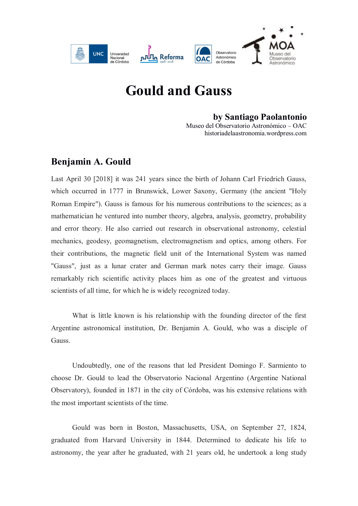

## **Gould and Gauss**

## **by Santiago Paolantonio**

Museo del Observatorio Astronómico – OAC historiadelaastronomia.wordpress.com

## **Benjamin A. Gould**

Last April 30 [2018] it was 241 years since the birth of Johann Carl Friedrich Gauss, which occurred in 1777 in Brunswick, Lower Saxony, Germany (the ancient "Holy Roman Empire"). Gauss is famous for his numerous contributions to the sciences; as a mathematician he ventured into number theory, algebra, analysis, geometry, probability and error theory. He also carried out research in observational astronomy, celestial mechanics, geodesy, geomagnetism, electromagnetism and optics, among others. For their contributions, the magnetic field unit of the International System was named "Gauss", just as a lunar crater and German mark notes carry their image. Gauss remarkably rich scientific activity places him as one of the greatest and virtuous scientists of all time, for which he is widely recognized today.

What is little known is his relationship with the founding director of the first Argentine astronomical institution, Dr. Benjamin A. Gould, who was a disciple of Gauss.

Undoubtedly, one of the reasons that led President Domingo F. Sarmiento to choose Dr. Gould to lead the Observatorio Nacional Argentino (Argentine National Observatory), founded in 1871 in the city of Córdoba, was his extensive relations with the most important scientists of the time.

Gould was born in Boston, Massachusetts, USA, on September 27, 1824, graduated from Harvard University in 1844. Determined to dedicate his life to astronomy, the year after he graduated, with 21 years old, he undertook a long study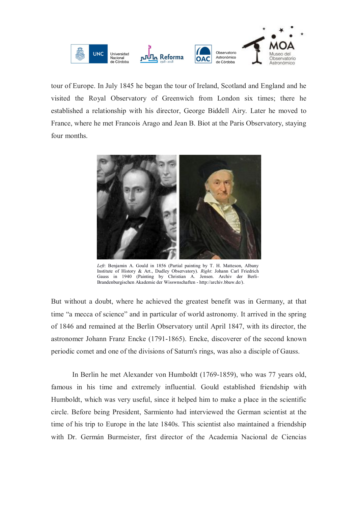

tour of Europe. In July 1845 he began the tour of Ireland, Scotland and England and he visited the Royal Observatory of Greenwich from London six times; there he established a relationship with his director, George Biddell Airy. Later he moved to France, where he met Francois Arago and Jean B. Biot at the Paris Observatory, staying four months.



*Left*: Benjamin A. Gould in 1856 (Partial painting by T. H. Matteson, Albany Institute of History & Art., Dudley Observatory). *Right*: Johann Carl Friedrich Gauss in 1940 (Painting by Christian A. Jensen. Archiv der Berli-Brandenburgischen Akademie der Wisswnschaften - http://archiv.bbaw.de/).

But without a doubt, where he achieved the greatest benefit was in Germany, at that time "a mecca of science" and in particular of world astronomy. It arrived in the spring of 1846 and remained at the Berlin Observatory until April 1847, with its director, the astronomer Johann Franz Encke (1791-1865). Encke, discoverer of the second known periodic comet and one of the divisions of Saturn's rings, was also a disciple of Gauss.

In Berlin he met Alexander von Humboldt (1769-1859), who was 77 years old, famous in his time and extremely influential. Gould established friendship with Humboldt, which was very useful, since it helped him to make a place in the scientific circle. Before being President, Sarmiento had interviewed the German scientist at the time of his trip to Europe in the late 1840s. This scientist also maintained a friendship with Dr. Germán Burmeister, first director of the Academia Nacional de Ciencias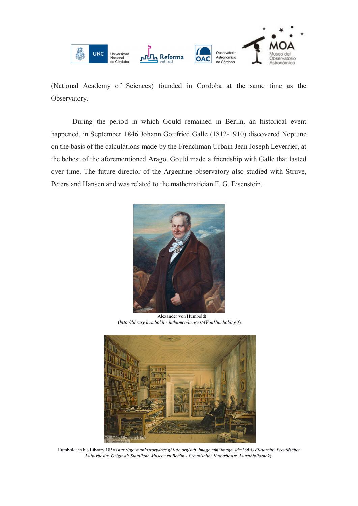

(National Academy of Sciences) founded in Cordoba at the same time as the Observatory.

During the period in which Gould remained in Berlin, an historical event happened, in September 1846 Johann Gottfried Galle (1812-1910) discovered Neptune on the basis of the calculations made by the Frenchman Urbain Jean Joseph Leverrier, at the behest of the aforementioned Arago. Gould made a friendship with Galle that lasted over time. The future director of the Argentine observatory also studied with Struve, Peters and Hansen and was related to the mathematician F. G. Eisenstein.



 Alexander von Humboldt (*http://library.humboldt.edu/humco/images/AVonHumboldt.gif*).



Humboldt in his Library 1856 (*http://germanhistorydocs.ghi-dc.org/sub\_image.cfm?image\_id=266 © Bildarchiv Preußischer Kulturbesitz, Original: Staatliche Museen zu Berlin - Preußischer Kulturbesitz, Kunstbibliothek*).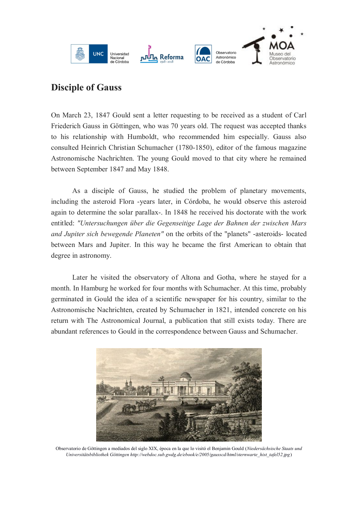

## **Disciple of Gauss**

On March 23, 1847 Gould sent a letter requesting to be received as a student of Carl Friederich Gauss in Göttingen, who was 70 years old. The request was accepted thanks to his relationship with Humboldt, who recommended him especially. Gauss also consulted Heinrich Christian Schumacher (1780-1850), editor of the famous magazine Astronomische Nachrichten. The young Gould moved to that city where he remained between September 1847 and May 1848.

As a disciple of Gauss, he studied the problem of planetary movements, including the asteroid Flora -years later, in Córdoba, he would observe this asteroid again to determine the solar parallax-. In 1848 he received his doctorate with the work entitled: *"Untersuchungen über die Gegenseitige Lage der Bahnen der zwischen Mars and Jupiter sich bewegende Planeten"* on the orbits of the "planets" -asteroids- located between Mars and Jupiter. In this way he became the first American to obtain that degree in astronomy.

Later he visited the observatory of Altona and Gotha, where he stayed for a month. In Hamburg he worked for four months with Schumacher. At this time, probably germinated in Gould the idea of a scientific newspaper for his country, similar to the Astronomische Nachrichten, created by Schumacher in 1821, intended concrete on his return with The Astronomical Journal, a publication that still exists today. There are abundant references to Gould in the correspondence between Gauss and Schumacher.



Observatorio de Göttingen a mediados del siglo XIX, época en la que lo visitó el Benjamin Gould (*Niedersächsische Staats und Universitätsbibliothek Göttingen http://webdoc.sub.gwdg.de/ebook/e/2005/gausscd/html/sternwarte\_hist\_tafel52.jpg*)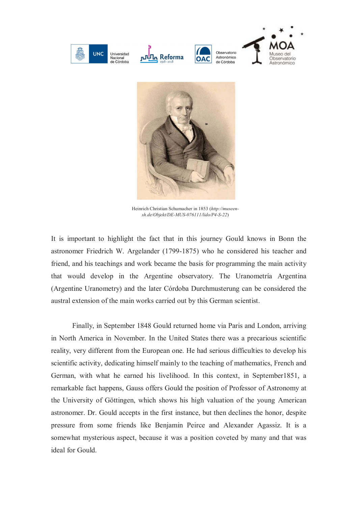



Heinrich Christian Schumacher in 1853 (*http://museensh.de/Objekt/DE-MUS-076111/lido/P4-S-22*)

It is important to highlight the fact that in this journey Gould knows in Bonn the astronomer Friedrich W. Argelander (1799-1875) who he considered his teacher and friend, and his teachings and work became the basis for programming the main activity that would develop in the Argentine observatory. The Uranometría Argentina (Argentine Uranometry) and the later Córdoba Durchmusterung can be considered the austral extension of the main works carried out by this German scientist.

Finally, in September 1848 Gould returned home via Paris and London, arriving in North America in November. In the United States there was a precarious scientific reality, very different from the European one. He had serious difficulties to develop his scientific activity, dedicating himself mainly to the teaching of mathematics, French and German, with what he earned his livelihood. In this context, in September1851, a remarkable fact happens, Gauss offers Gould the position of Professor of Astronomy at the University of Göttingen, which shows his high valuation of the young American astronomer. Dr. Gould accepts in the first instance, but then declines the honor, despite pressure from some friends like Benjamin Peirce and Alexander Agassiz. It is a somewhat mysterious aspect, because it was a position coveted by many and that was ideal for Gould.